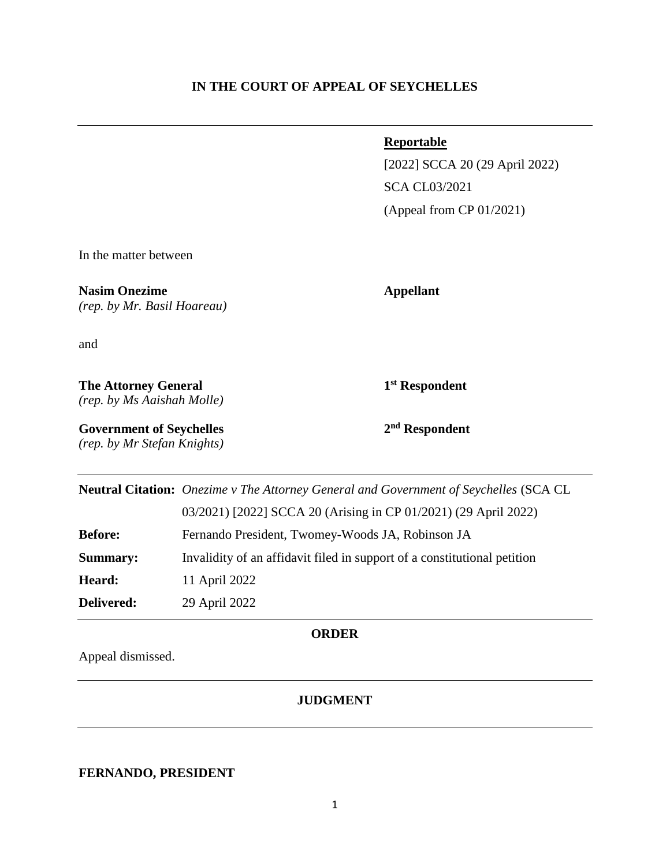### **IN THE COURT OF APPEAL OF SEYCHELLES**

#### **Reportable**

[2022] SCCA 20 (29 April 2022) SCA CL03/2021 (Appeal from CP 01/2021)

In the matter between

**Nasim Onezime Appellant** *(rep. by Mr. Basil Hoareau)*

and

**The Attorney General 1** *(rep. by Ms Aaishah Molle)*

**st Respondent**

**Government of Seychelles 2** *(rep. by Mr Stefan Knights)* **nd Respondent**

|                | Neutral Citation: Onezime v The Attorney General and Government of Seychelles (SCA CL |
|----------------|---------------------------------------------------------------------------------------|
|                | 03/2021) [2022] SCCA 20 (Arising in CP 01/2021) (29 April 2022)                       |
| <b>Before:</b> | Fernando President, Twomey-Woods JA, Robinson JA                                      |
| Summary:       | Invalidity of an affidavit filed in support of a constitutional petition              |
| Heard:         | 11 April 2022                                                                         |
| Delivered:     | 29 April 2022                                                                         |

#### **ORDER**

Appeal dismissed.

## **JUDGMENT**

## **FERNANDO, PRESIDENT**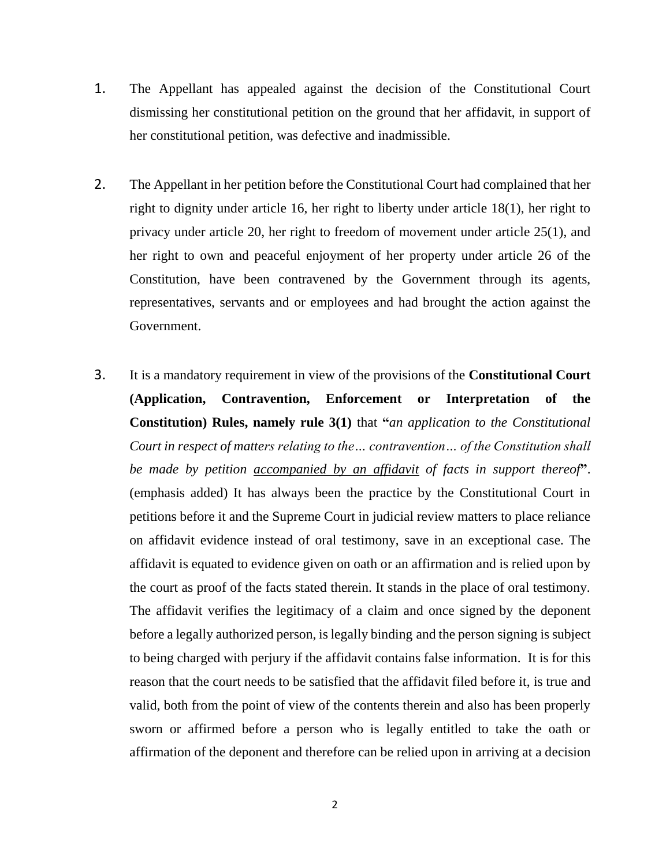- 1. The Appellant has appealed against the decision of the Constitutional Court dismissing her constitutional petition on the ground that her affidavit, in support of her constitutional petition, was defective and inadmissible.
- 2. The Appellant in her petition before the Constitutional Court had complained that her right to dignity under article 16, her right to liberty under article 18(1), her right to privacy under article 20, her right to freedom of movement under article 25(1), and her right to own and peaceful enjoyment of her property under article 26 of the Constitution, have been contravened by the Government through its agents, representatives, servants and or employees and had brought the action against the Government.
- 3. It is a mandatory requirement in view of the provisions of the **Constitutional Court (Application, Contravention, Enforcement or Interpretation of the Constitution) Rules, namely rule 3(1)** that **"***an application to the Constitutional Court in respect of matters relating to the… contravention… of the Constitution shall be made by petition accompanied by an affidavit of facts in support thereof***"**. (emphasis added) It has always been the practice by the Constitutional Court in petitions before it and the Supreme Court in judicial review matters to place reliance on affidavit evidence instead of oral testimony, save in an exceptional case. The affidavit is equated to evidence given on oath or an affirmation and is relied upon by the court as proof of the facts stated therein. It stands in the place of oral testimony. The affidavit verifies the legitimacy of a claim and once signed by the deponent before a legally authorized person, is legally binding and the person signing is subject to being charged with perjury if the affidavit contains false information. It is for this reason that the court needs to be satisfied that the affidavit filed before it, is true and valid, both from the point of view of the contents therein and also has been properly sworn or affirmed before a person who is legally entitled to take the oath or affirmation of the deponent and therefore can be relied upon in arriving at a decision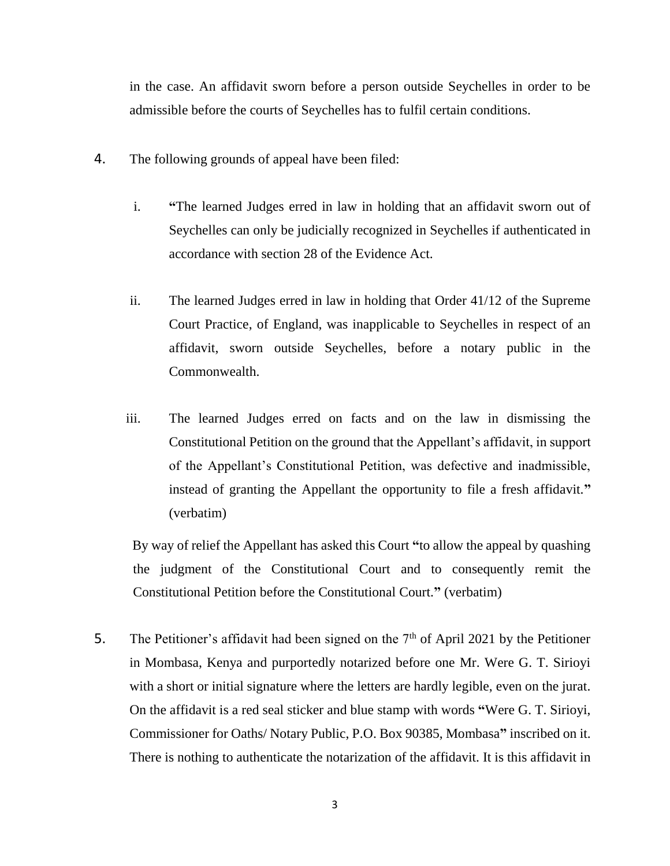in the case. An affidavit sworn before a person outside Seychelles in order to be admissible before the courts of Seychelles has to fulfil certain conditions.

- 4. The following grounds of appeal have been filed:
	- i. **"**The learned Judges erred in law in holding that an affidavit sworn out of Seychelles can only be judicially recognized in Seychelles if authenticated in accordance with section 28 of the Evidence Act.
	- ii. The learned Judges erred in law in holding that Order 41/12 of the Supreme Court Practice, of England, was inapplicable to Seychelles in respect of an affidavit, sworn outside Seychelles, before a notary public in the Commonwealth.
	- iii. The learned Judges erred on facts and on the law in dismissing the Constitutional Petition on the ground that the Appellant's affidavit, in support of the Appellant's Constitutional Petition, was defective and inadmissible, instead of granting the Appellant the opportunity to file a fresh affidavit.**"** (verbatim)

By way of relief the Appellant has asked this Court **"**to allow the appeal by quashing the judgment of the Constitutional Court and to consequently remit the Constitutional Petition before the Constitutional Court.**"** (verbatim)

5. The Petitioner's affidavit had been signed on the  $7<sup>th</sup>$  of April 2021 by the Petitioner in Mombasa, Kenya and purportedly notarized before one Mr. Were G. T. Sirioyi with a short or initial signature where the letters are hardly legible, even on the jurat. On the affidavit is a red seal sticker and blue stamp with words **"**Were G. T. Sirioyi, Commissioner for Oaths/ Notary Public, P.O. Box 90385, Mombasa**"** inscribed on it. There is nothing to authenticate the notarization of the affidavit. It is this affidavit in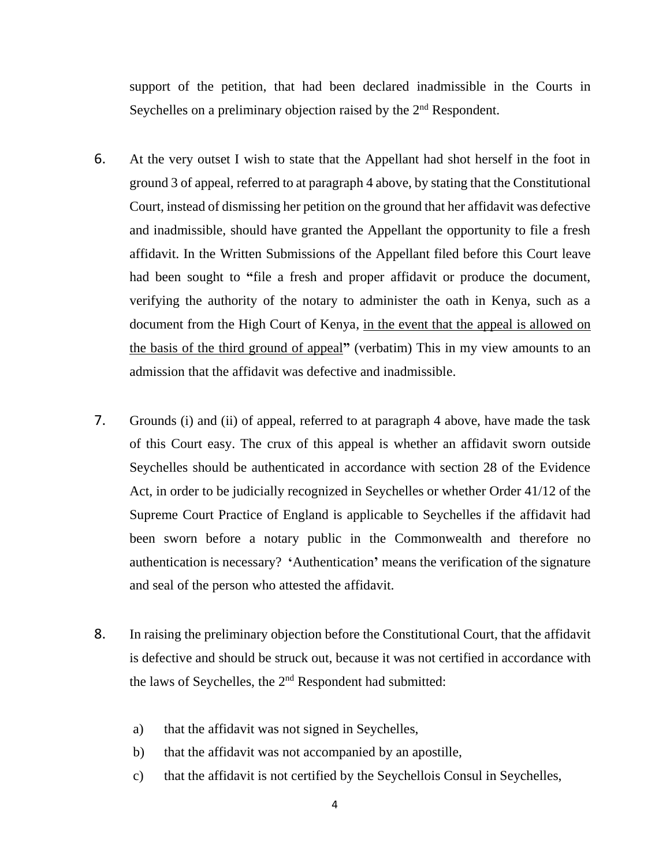support of the petition, that had been declared inadmissible in the Courts in Seychelles on a preliminary objection raised by the  $2<sup>nd</sup>$  Respondent.

- 6. At the very outset I wish to state that the Appellant had shot herself in the foot in ground 3 of appeal, referred to at paragraph 4 above, by stating that the Constitutional Court, instead of dismissing her petition on the ground that her affidavit was defective and inadmissible, should have granted the Appellant the opportunity to file a fresh affidavit. In the Written Submissions of the Appellant filed before this Court leave had been sought to **"**file a fresh and proper affidavit or produce the document, verifying the authority of the notary to administer the oath in Kenya, such as a document from the High Court of Kenya, in the event that the appeal is allowed on the basis of the third ground of appeal**"** (verbatim) This in my view amounts to an admission that the affidavit was defective and inadmissible.
- 7. Grounds (i) and (ii) of appeal, referred to at paragraph 4 above, have made the task of this Court easy. The crux of this appeal is whether an affidavit sworn outside Seychelles should be authenticated in accordance with section 28 of the Evidence Act, in order to be judicially recognized in Seychelles or whether Order 41/12 of the Supreme Court Practice of England is applicable to Seychelles if the affidavit had been sworn before a notary public in the Commonwealth and therefore no authentication is necessary? **'**Authentication**'** means the verification of the signature and seal of the person who attested the affidavit.
- 8. In raising the preliminary objection before the Constitutional Court, that the affidavit is defective and should be struck out, because it was not certified in accordance with the laws of Seychelles, the 2<sup>nd</sup> Respondent had submitted:
	- a) that the affidavit was not signed in Seychelles,
	- b) that the affidavit was not accompanied by an apostille,
	- c) that the affidavit is not certified by the Seychellois Consul in Seychelles,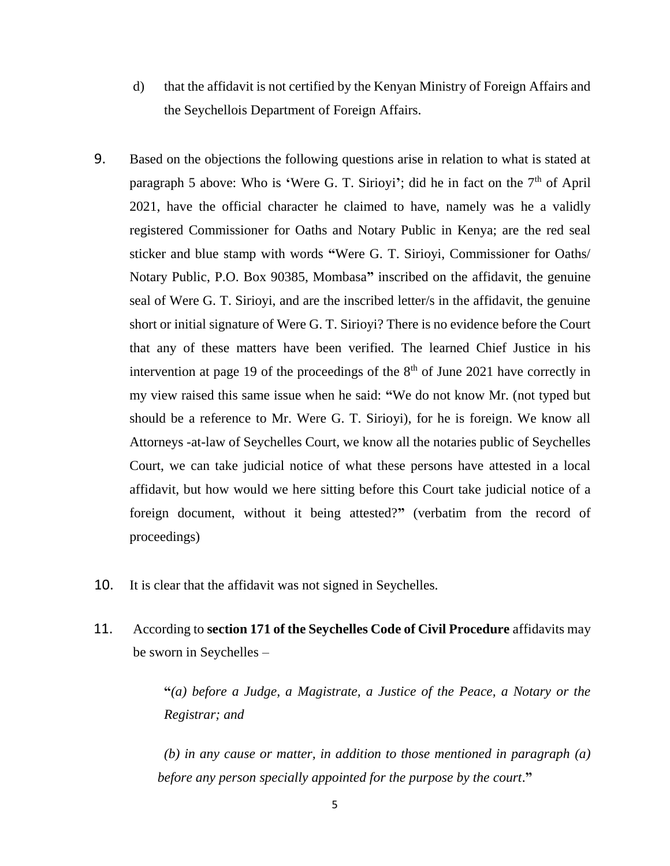- d) that the affidavit is not certified by the Kenyan Ministry of Foreign Affairs and the Seychellois Department of Foreign Affairs.
- 9. Based on the objections the following questions arise in relation to what is stated at paragraph 5 above: Who is 'Were G. T. Sirioyi'; did he in fact on the 7<sup>th</sup> of April 2021, have the official character he claimed to have, namely was he a validly registered Commissioner for Oaths and Notary Public in Kenya; are the red seal sticker and blue stamp with words **"**Were G. T. Sirioyi, Commissioner for Oaths/ Notary Public, P.O. Box 90385, Mombasa**"** inscribed on the affidavit, the genuine seal of Were G. T. Sirioyi, and are the inscribed letter/s in the affidavit, the genuine short or initial signature of Were G. T. Sirioyi? There is no evidence before the Court that any of these matters have been verified. The learned Chief Justice in his intervention at page 19 of the proceedings of the  $8<sup>th</sup>$  of June 2021 have correctly in my view raised this same issue when he said: **"**We do not know Mr. (not typed but should be a reference to Mr. Were G. T. Sirioyi), for he is foreign. We know all Attorneys -at-law of Seychelles Court, we know all the notaries public of Seychelles Court, we can take judicial notice of what these persons have attested in a local affidavit, but how would we here sitting before this Court take judicial notice of a foreign document, without it being attested?**"** (verbatim from the record of proceedings)
- 10. It is clear that the affidavit was not signed in Seychelles.
- 11. According to **section 171 of the Seychelles Code of Civil Procedure** affidavits may be sworn in Seychelles –

**"***(a) before a Judge, a Magistrate, a Justice of the Peace, a Notary or the Registrar; and*

*(b) in any cause or matter, in addition to those mentioned in paragraph (a) before any person specially appointed for the purpose by the court*.**"**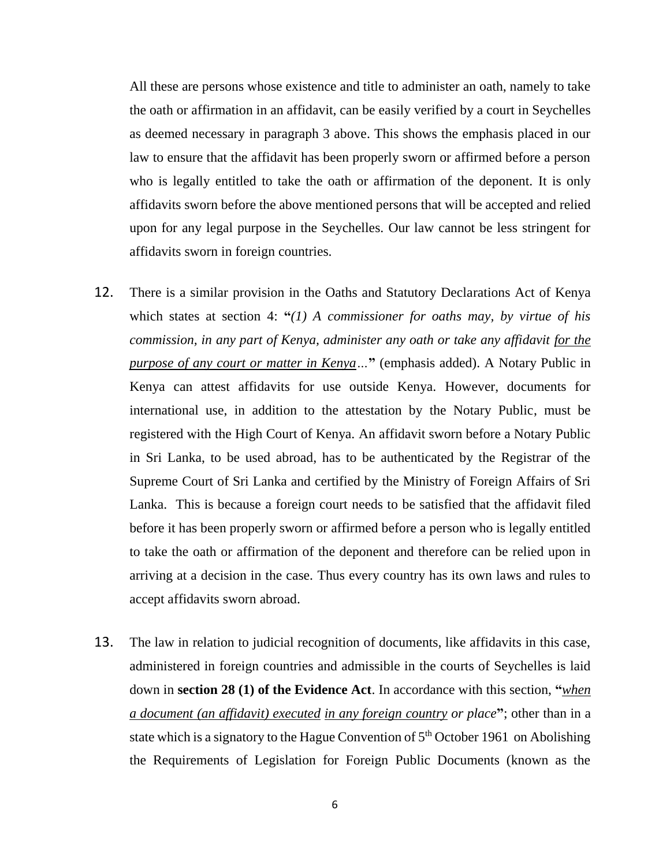All these are persons whose existence and title to administer an oath, namely to take the oath or affirmation in an affidavit, can be easily verified by a court in Seychelles as deemed necessary in paragraph 3 above. This shows the emphasis placed in our law to ensure that the affidavit has been properly sworn or affirmed before a person who is legally entitled to take the oath or affirmation of the deponent. It is only affidavits sworn before the above mentioned persons that will be accepted and relied upon for any legal purpose in the Seychelles. Our law cannot be less stringent for affidavits sworn in foreign countries.

- 12. There is a similar provision in the Oaths and Statutory Declarations Act of Kenya which states at section 4: **"***(1) A commissioner for oaths may, by virtue of his commission, in any part of Kenya, administer any oath or take any affidavit for the purpose of any court or matter in Kenya…***"** (emphasis added). A Notary Public in Kenya can attest affidavits for use outside Kenya. However, documents for international use, in addition to the attestation by the Notary Public, must be registered with the High Court of Kenya. An affidavit sworn before a Notary Public in Sri Lanka, to be used abroad, has to be authenticated by the Registrar of the Supreme Court of Sri Lanka and certified by the Ministry of Foreign Affairs of Sri Lanka. This is because a foreign court needs to be satisfied that the affidavit filed before it has been properly sworn or affirmed before a person who is legally entitled to take the oath or affirmation of the deponent and therefore can be relied upon in arriving at a decision in the case. Thus every country has its own laws and rules to accept affidavits sworn abroad.
- 13. The law in relation to judicial recognition of documents, like affidavits in this case, administered in foreign countries and admissible in the courts of Seychelles is laid down in **section 28 (1) of the Evidence Act**. In accordance with this section, **"***when a document (an affidavit) executed in any foreign country or place***"**; other than in a state which is a signatory to the Hague Convention of  $5<sup>th</sup>$  October 1961 on Abolishing the Requirements of Legislation for Foreign Public Documents (known as the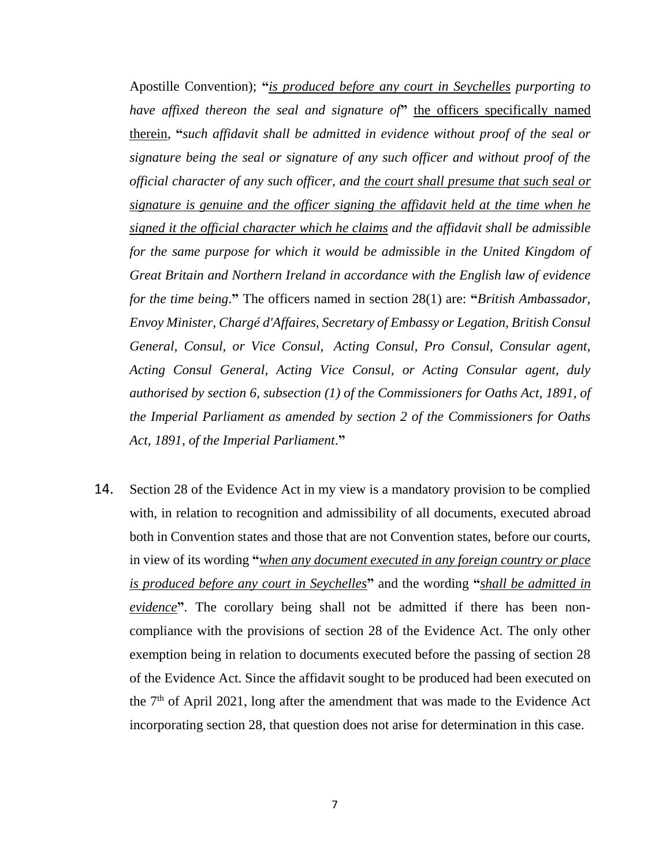Apostille Convention); **"***is produced before any court in Seychelles purporting to have affixed thereon the seal and signature of***"** the officers specifically named therein, **"***such affidavit shall be admitted in evidence without proof of the seal or signature being the seal or signature of any such officer and without proof of the official character of any such officer, and the court shall presume that such seal or signature is genuine and the officer signing the affidavit held at the time when he signed it the official character which he claims and the affidavit shall be admissible*  for the same purpose for which it would be admissible in the United Kingdom of *Great Britain and Northern Ireland in accordance with the English law of evidence for the time being*.**"** The officers named in section 28(1) are: **"***British Ambassador, Envoy Minister, Chargé d'Affaires, Secretary of Embassy or Legation, British Consul General, Consul, or Vice Consul, Acting Consul, Pro Consul, Consular agent, Acting Consul General, Acting Vice Consul, or Acting Consular agent, duly authorised by section 6, subsection (1) of the Commissioners for Oaths Act, 1891, of the Imperial Parliament as amended by section 2 of the Commissioners for Oaths Act, 1891, of the Imperial Parliament*.**"**

14. Section 28 of the Evidence Act in my view is a mandatory provision to be complied with, in relation to recognition and admissibility of all documents, executed abroad both in Convention states and those that are not Convention states, before our courts, in view of its wording **"***when any document executed in any foreign country or place is produced before any court in Seychelles***"** and the wording **"***shall be admitted in evidence***"**. The corollary being shall not be admitted if there has been noncompliance with the provisions of section 28 of the Evidence Act. The only other exemption being in relation to documents executed before the passing of section 28 of the Evidence Act. Since the affidavit sought to be produced had been executed on the  $7<sup>th</sup>$  of April 2021, long after the amendment that was made to the Evidence Act incorporating section 28, that question does not arise for determination in this case.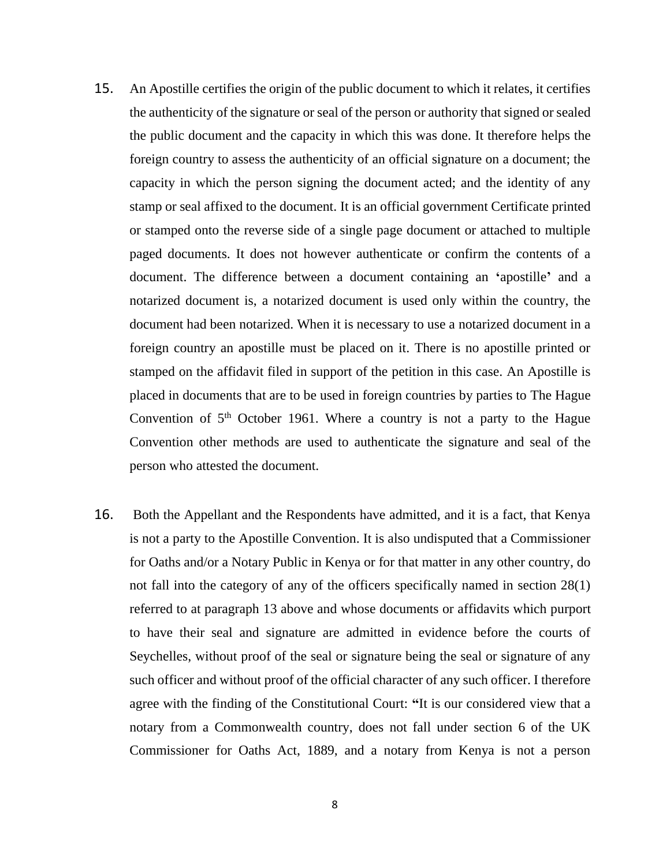- 15. An Apostille certifies the origin of the public document to which it relates, it certifies the authenticity of the signature or seal of the person or authority that signed or sealed the public document and the capacity in which this was done. It therefore helps the foreign country to assess the authenticity of an official signature on a document; the capacity in which the person signing the document acted; and the identity of any stamp or seal affixed to the document. It is an official government Certificate printed or stamped onto the reverse side of a single page document or attached to multiple paged documents. It does not however authenticate or confirm the contents of a document. The difference between a document containing an **'**apostille**'** and a notarized document is, a notarized document is used only within the country, the document had been notarized. When it is necessary to use a notarized document in a foreign country an apostille must be placed on it. There is no apostille printed or stamped on the affidavit filed in support of the petition in this case. An Apostille is placed in documents that are to be used in foreign countries by parties to The Hague Convention of  $5<sup>th</sup>$  October 1961. Where a country is not a party to the Hague Convention other methods are used to authenticate the signature and seal of the person who attested the document.
- 16. Both the Appellant and the Respondents have admitted, and it is a fact, that Kenya is not a party to the Apostille Convention. It is also undisputed that a Commissioner for Oaths and/or a Notary Public in Kenya or for that matter in any other country, do not fall into the category of any of the officers specifically named in section 28(1) referred to at paragraph 13 above and whose documents or affidavits which purport to have their seal and signature are admitted in evidence before the courts of Seychelles, without proof of the seal or signature being the seal or signature of any such officer and without proof of the official character of any such officer. I therefore agree with the finding of the Constitutional Court: **"**It is our considered view that a notary from a Commonwealth country, does not fall under section 6 of the UK Commissioner for Oaths Act, 1889, and a notary from Kenya is not a person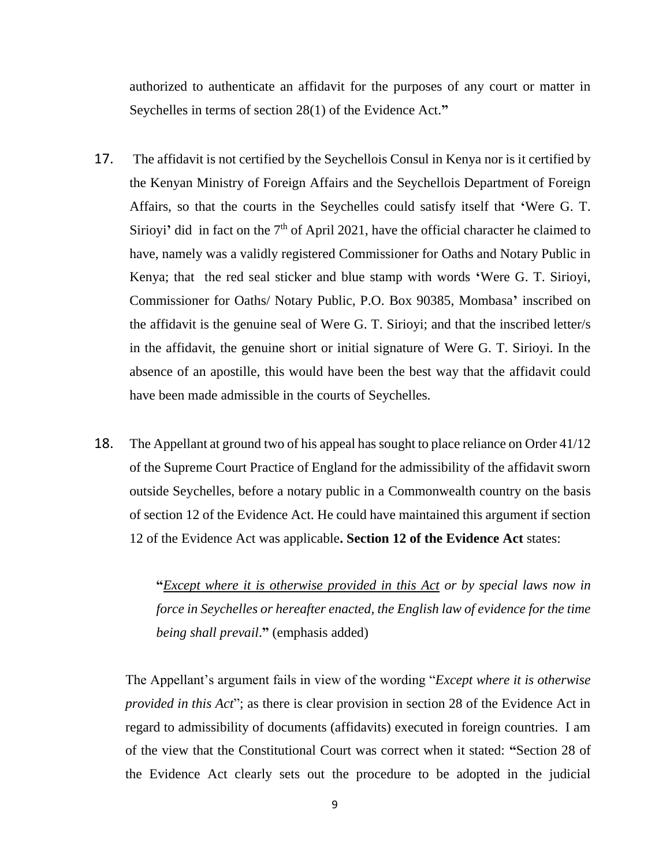authorized to authenticate an affidavit for the purposes of any court or matter in Seychelles in terms of section 28(1) of the Evidence Act.**"**

- 17. The affidavit is not certified by the Seychellois Consul in Kenya nor is it certified by the Kenyan Ministry of Foreign Affairs and the Seychellois Department of Foreign Affairs, so that the courts in the Seychelles could satisfy itself that **'**Were G. T. Sirioyi<sup>'</sup> did in fact on the  $7<sup>th</sup>$  of April 2021, have the official character he claimed to have, namely was a validly registered Commissioner for Oaths and Notary Public in Kenya; that the red seal sticker and blue stamp with words **'**Were G. T. Sirioyi, Commissioner for Oaths/ Notary Public, P.O. Box 90385, Mombasa**'** inscribed on the affidavit is the genuine seal of Were G. T. Sirioyi; and that the inscribed letter/s in the affidavit, the genuine short or initial signature of Were G. T. Sirioyi. In the absence of an apostille, this would have been the best way that the affidavit could have been made admissible in the courts of Seychelles.
- 18. The Appellant at ground two of his appeal has sought to place reliance on Order 41/12 of the Supreme Court Practice of England for the admissibility of the affidavit sworn outside Seychelles, before a notary public in a Commonwealth country on the basis of section 12 of the Evidence Act. He could have maintained this argument if section 12 of the Evidence Act was applicable**. Section 12 of the Evidence Act** states:

**"***Except where it is otherwise provided in this Act or by special laws now in force in Seychelles or hereafter enacted, the English law of evidence for the time being shall prevail*.**"** (emphasis added)

The Appellant's argument fails in view of the wording "*Except where it is otherwise provided in this Act*"; as there is clear provision in section 28 of the Evidence Act in regard to admissibility of documents (affidavits) executed in foreign countries. I am of the view that the Constitutional Court was correct when it stated: **"**Section 28 of the Evidence Act clearly sets out the procedure to be adopted in the judicial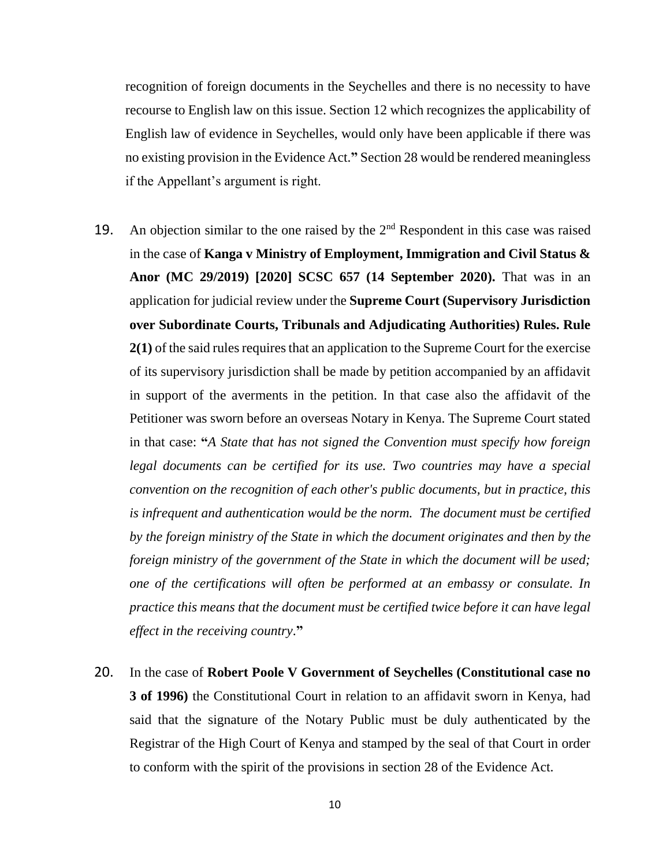recognition of foreign documents in the Seychelles and there is no necessity to have recourse to English law on this issue. Section 12 which recognizes the applicability of English law of evidence in Seychelles, would only have been applicable if there was no existing provision in the Evidence Act.**"** Section 28 would be rendered meaningless if the Appellant's argument is right.

- 19. An objection similar to the one raised by the  $2<sup>nd</sup>$  Respondent in this case was raised in the case of **Kanga v Ministry of Employment, Immigration and Civil Status & Anor (MC 29/2019) [2020] SCSC 657 (14 September 2020).** That was in an application for judicial review under the **Supreme Court (Supervisory Jurisdiction over Subordinate Courts, Tribunals and Adjudicating Authorities) Rules. Rule 2(1)** of the said rules requires that an application to the Supreme Court for the exercise of its supervisory jurisdiction shall be made by petition accompanied by an affidavit in support of the averments in the petition. In that case also the affidavit of the Petitioner was sworn before an overseas Notary in Kenya. The Supreme Court stated in that case: **"***A State that has not signed the Convention must specify how foreign legal documents can be certified for its use. Two countries may have a special convention on the recognition of each other's public documents, but in practice, this is infrequent and authentication would be the norm. The document must be certified by the foreign ministry of the State in which the document originates and then by the foreign ministry of the government of the State in which the document will be used; one of the certifications will often be performed at an embassy or consulate. In practice this means that the document must be certified twice before it can have legal effect in the receiving country*.**"**
- 20. In the case of **Robert Poole V Government of Seychelles (Constitutional case no 3 of 1996)** the Constitutional Court in relation to an affidavit sworn in Kenya, had said that the signature of the Notary Public must be duly authenticated by the Registrar of the High Court of Kenya and stamped by the seal of that Court in order to conform with the spirit of the provisions in section 28 of the Evidence Act.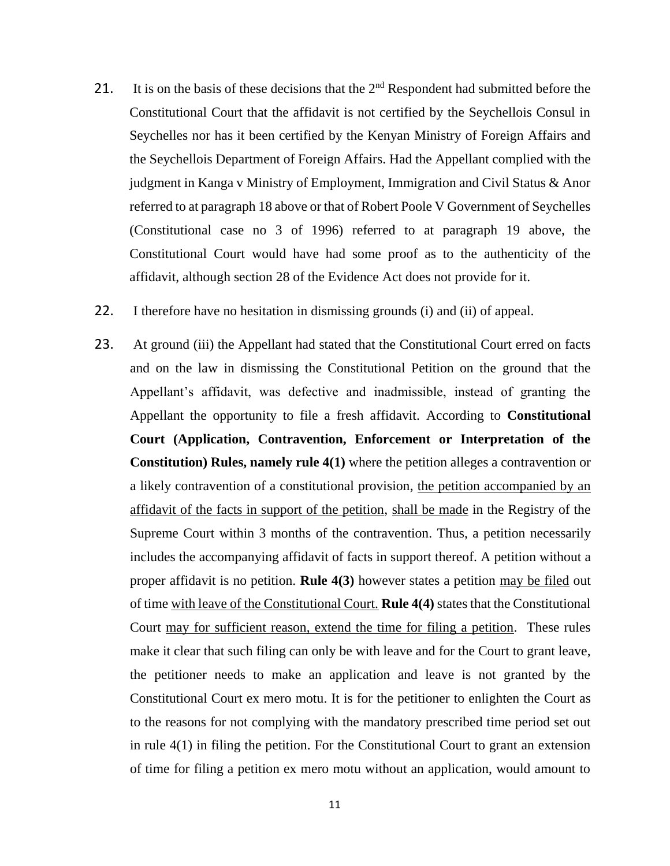- 21. It is on the basis of these decisions that the  $2<sup>nd</sup>$  Respondent had submitted before the Constitutional Court that the affidavit is not certified by the Seychellois Consul in Seychelles nor has it been certified by the Kenyan Ministry of Foreign Affairs and the Seychellois Department of Foreign Affairs. Had the Appellant complied with the judgment in Kanga v Ministry of Employment, Immigration and Civil Status & Anor referred to at paragraph 18 above or that of Robert Poole V Government of Seychelles (Constitutional case no 3 of 1996) referred to at paragraph 19 above, the Constitutional Court would have had some proof as to the authenticity of the affidavit, although section 28 of the Evidence Act does not provide for it.
- 22. I therefore have no hesitation in dismissing grounds (i) and (ii) of appeal.
- 23. At ground (iii) the Appellant had stated that the Constitutional Court erred on facts and on the law in dismissing the Constitutional Petition on the ground that the Appellant's affidavit, was defective and inadmissible, instead of granting the Appellant the opportunity to file a fresh affidavit. According to **Constitutional Court (Application, Contravention, Enforcement or Interpretation of the Constitution) Rules, namely rule 4(1)** where the petition alleges a contravention or a likely contravention of a constitutional provision, the petition accompanied by an affidavit of the facts in support of the petition, shall be made in the Registry of the Supreme Court within 3 months of the contravention. Thus, a petition necessarily includes the accompanying affidavit of facts in support thereof. A petition without a proper affidavit is no petition. **Rule 4(3)** however states a petition may be filed out of time with leave of the Constitutional Court. **Rule 4(4)** states that the Constitutional Court may for sufficient reason, extend the time for filing a petition. These rules make it clear that such filing can only be with leave and for the Court to grant leave, the petitioner needs to make an application and leave is not granted by the Constitutional Court ex mero motu. It is for the petitioner to enlighten the Court as to the reasons for not complying with the mandatory prescribed time period set out in rule 4(1) in filing the petition. For the Constitutional Court to grant an extension of time for filing a petition ex mero motu without an application, would amount to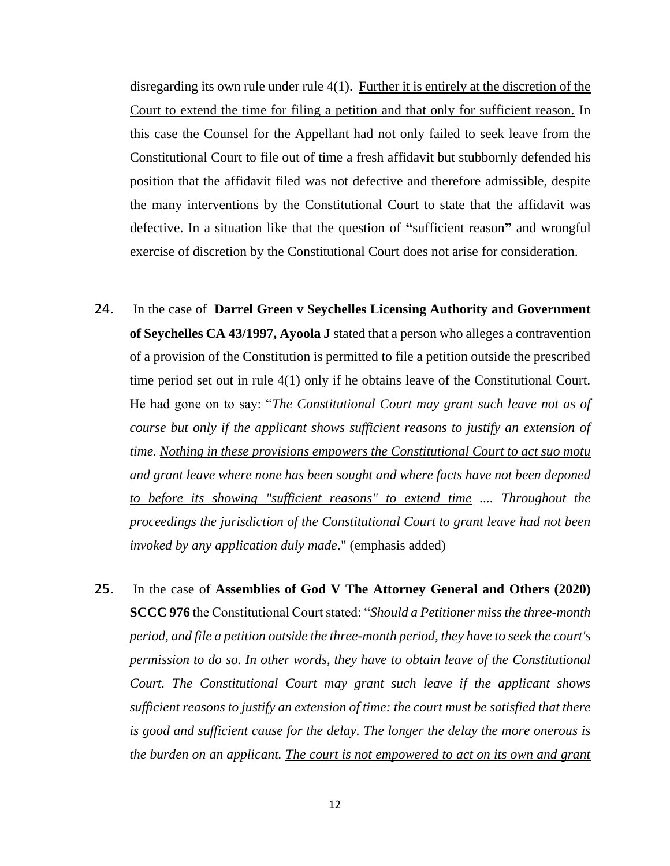disregarding its own rule under rule 4(1). Further it is entirely at the discretion of the Court to extend the time for filing a petition and that only for sufficient reason. In this case the Counsel for the Appellant had not only failed to seek leave from the Constitutional Court to file out of time a fresh affidavit but stubbornly defended his position that the affidavit filed was not defective and therefore admissible, despite the many interventions by the Constitutional Court to state that the affidavit was defective. In a situation like that the question of **"**sufficient reason**"** and wrongful exercise of discretion by the Constitutional Court does not arise for consideration.

- 24. In the case of **Darrel Green v Seychelles Licensing Authority and Government of Seychelles CA 43/1997, Ayoola J** stated that a person who alleges a contravention of a provision of the Constitution is permitted to file a petition outside the prescribed time period set out in rule 4(1) only if he obtains leave of the Constitutional Court. He had gone on to say: "*The Constitutional Court may grant such leave not as of course but only if the applicant shows sufficient reasons to justify an extension of time. Nothing in these provisions empowers the Constitutional Court to act suo motu and grant leave where none has been sought and where facts have not been deponed to before its showing "sufficient reasons" to extend time .... Throughout the proceedings the jurisdiction of the Constitutional Court to grant leave had not been invoked by any application duly made*." (emphasis added)
- 25. In the case of **Assemblies of God V The Attorney General and Others (2020) SCCC 976** the Constitutional Court stated: "*Should a Petitioner miss the three-month period, and file a petition outside the three-month period, they have to seek the court's permission to do so. In other words, they have to obtain leave of the Constitutional Court. The Constitutional Court may grant such leave if the applicant shows sufficient reasons to justify an extension of time: the court must be satisfied that there is good and sufficient cause for the delay. The longer the delay the more onerous is the burden on an applicant. The court is not empowered to act on its own and grant*